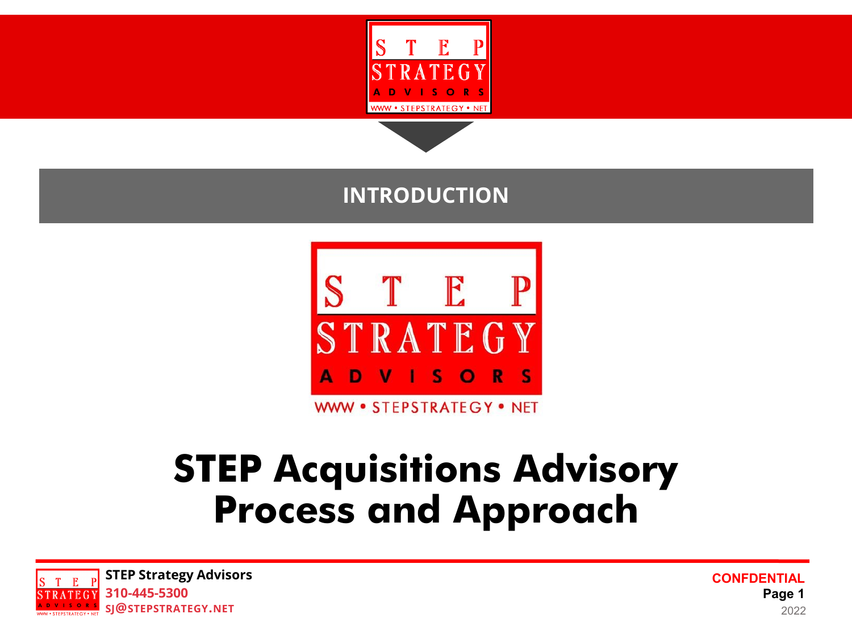

### **INTRODUCTION**



# **STEP Acquisitions Advisory Process and Approach**

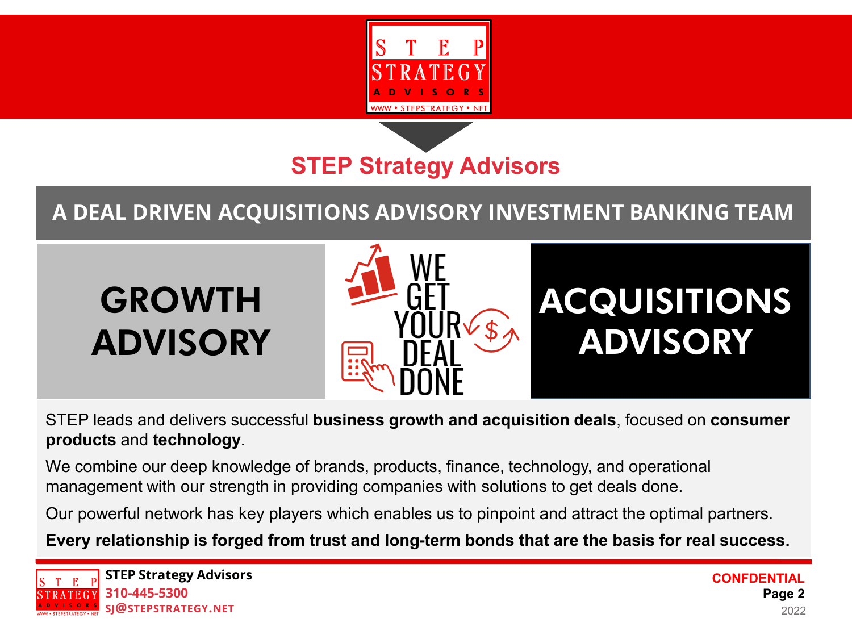

**STEP Strategy Advisors**

**A DEAL DRIVEN ACQUISITIONS ADVISORY INVESTMENT BANKING TEAM**



STEP leads and delivers successful **business growth and acquisition deals**, focused on **consumer products** and **technology**.

We combine our deep knowledge of brands, products, finance, technology, and operational management with our strength in providing companies with solutions to get deals done.

Our powerful network has key players which enables us to pinpoint and attract the optimal partners.

**Every relationship is forged from trust and long-term bonds that are the basis for real success.**

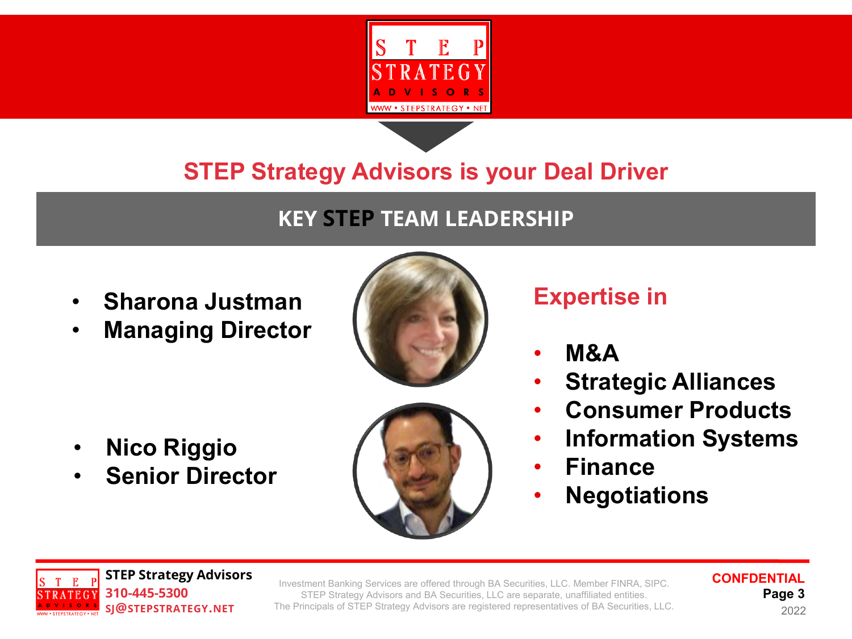

### **KEY STEP TEAM LEADERSHIP**

- **Sharona Justman**
- **Managing Director**





• **Senior Director**



## **Expertise in**

- **M&A**
- **Strategic Alliances**
- **Consumer Products**
- **Information Systems**
- **Finance**
	- **Negotiations**



Investment Banking Services are offered through BA Securities, LLC. Member FINRA, SIPC. STEP Strategy Advisors and BA Securities, LLC are separate, unaffiliated entities. The Principals of STEP Strategy Advisors are registered representatives of BA Securities, LLC.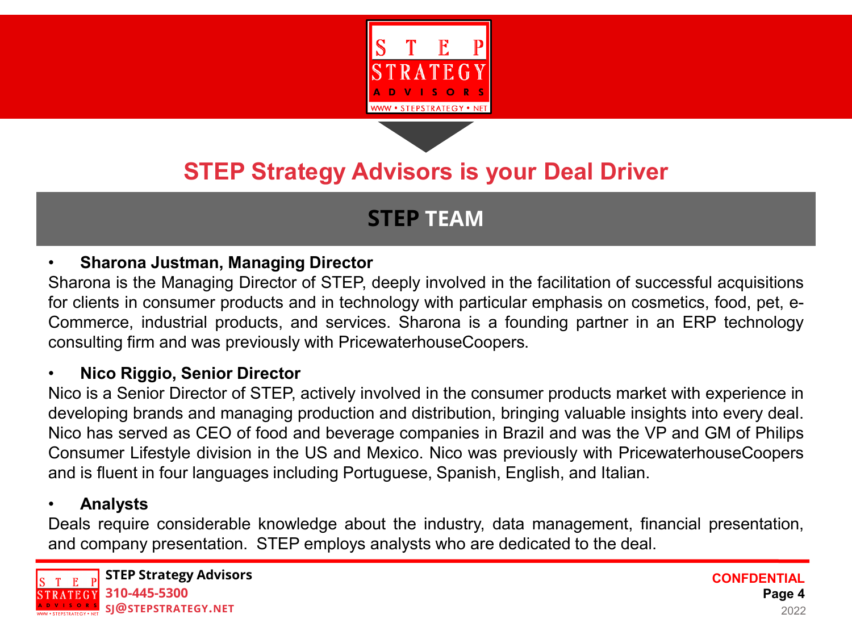

### **STEP TEAM**

### • **Sharona Justman, Managing Director**

Sharona is the Managing Director of STEP, deeply involved in the facilitation of successful acquisitions for clients in consumer products and in technology with particular emphasis on cosmetics, food, pet, e-Commerce, industrial products, and services. Sharona is a founding partner in an ERP technology consulting firm and was previously with PricewaterhouseCoopers.

### • **Nico Riggio, Senior Director**

Nico is a Senior Director of STEP, actively involved in the consumer products market with experience in developing brands and managing production and distribution, bringing valuable insights into every deal. Nico has served as CEO of food and beverage companies in Brazil and was the VP and GM of Philips Consumer Lifestyle division in the US and Mexico. Nico was previously with PricewaterhouseCoopers and is fluent in four languages including Portuguese, Spanish, English, and Italian.

### • **Analysts**

Deals require considerable knowledge about the industry, data management, financial presentation, and company presentation. STEP employs analysts who are dedicated to the deal.

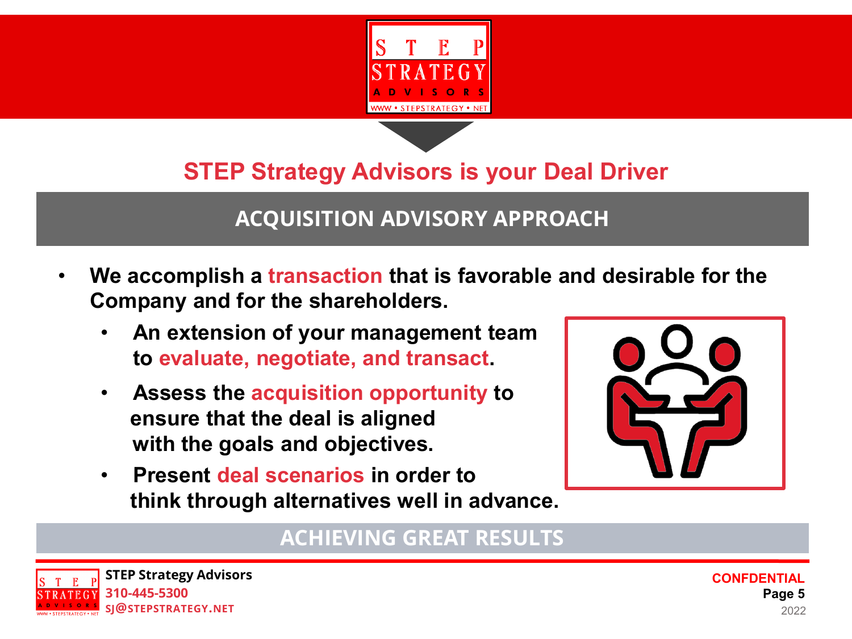

### **ACQUISITION ADVISORY APPROACH**

- **We accomplish a transaction that is favorable and desirable for the Company and for the shareholders.** 
	- **An extension of your management team to evaluate, negotiate, and transact.**
	- **Assess the acquisition opportunity to ensure that the deal is aligned with the goals and objectives.**
	- **Present deal scenarios in order to think through alternatives well in advance.**



### **ACHIEVING GREAT RESULTS**

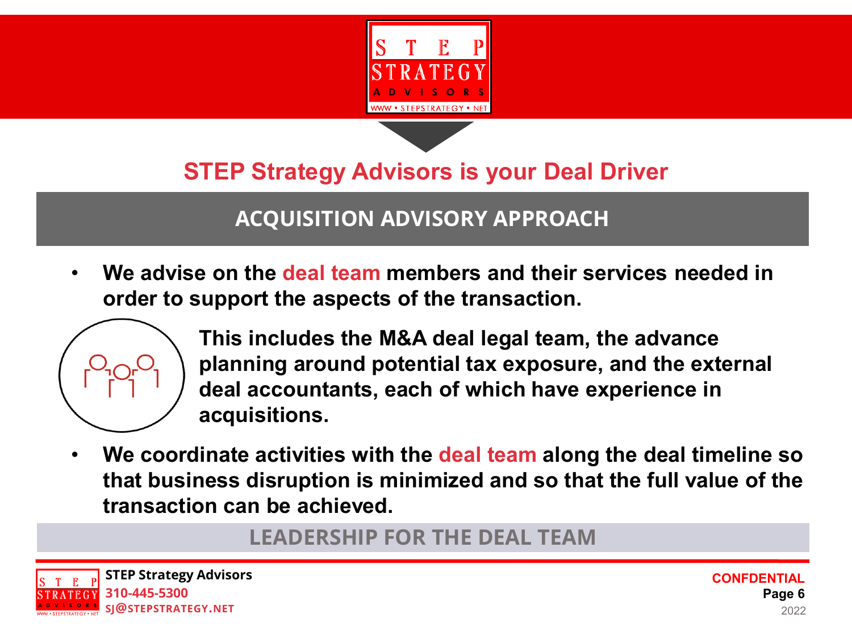



### **ACQUISITION ADVISORY APPROACH**

• **We advise on the deal team members and their services needed in order to support the aspects of the transaction.** 



**This includes the M&A deal legal team, the advance planning around potential tax exposure, and the external deal accountants, each of which have experience in acquisitions.**

• **We coordinate activities with the deal team along the deal timeline so that business disruption is minimized and so that the full value of the transaction can be achieved.**

**LEADERSHIP FOR THE DEAL TEAM**

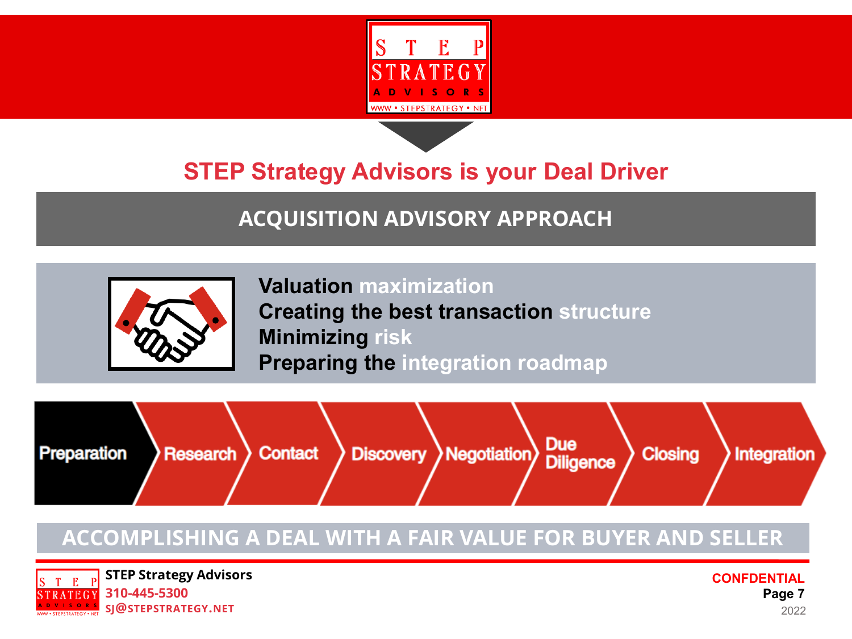

## **ACQUISITION ADVISORY APPROACH**



**Valuation maximization Creating the best transaction structure Minimizing risk Preparing the integration roadmap**



### **ACCOMPLISHING A DEAL WITH A FAIR VALUE FOR BUYER AND SELLER**

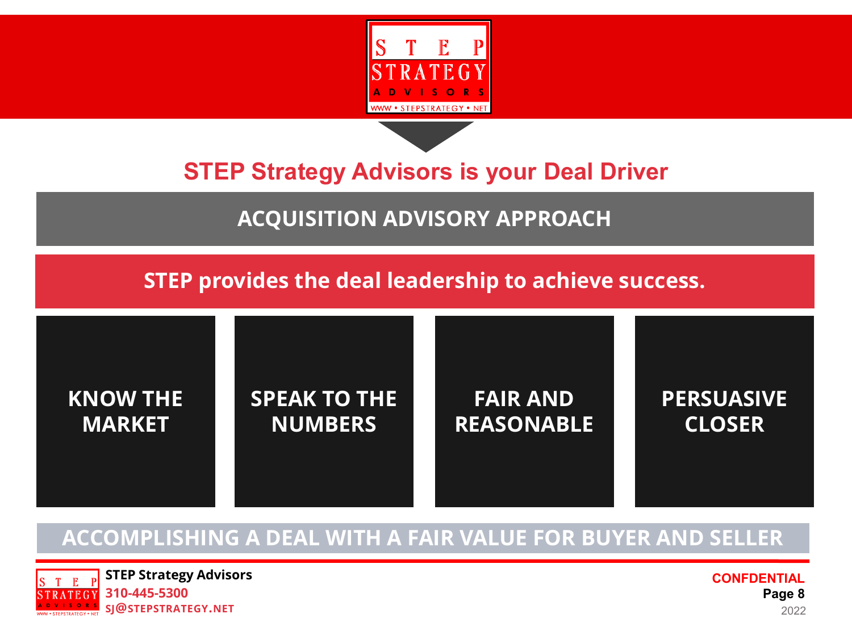



### **ACQUISITION ADVISORY APPROACH**

**STEP provides the deal leadership to achieve success.**



### **ACCOMPLISHING A DEAL WITH A FAIR VALUE FOR BUYER AND SELLER**

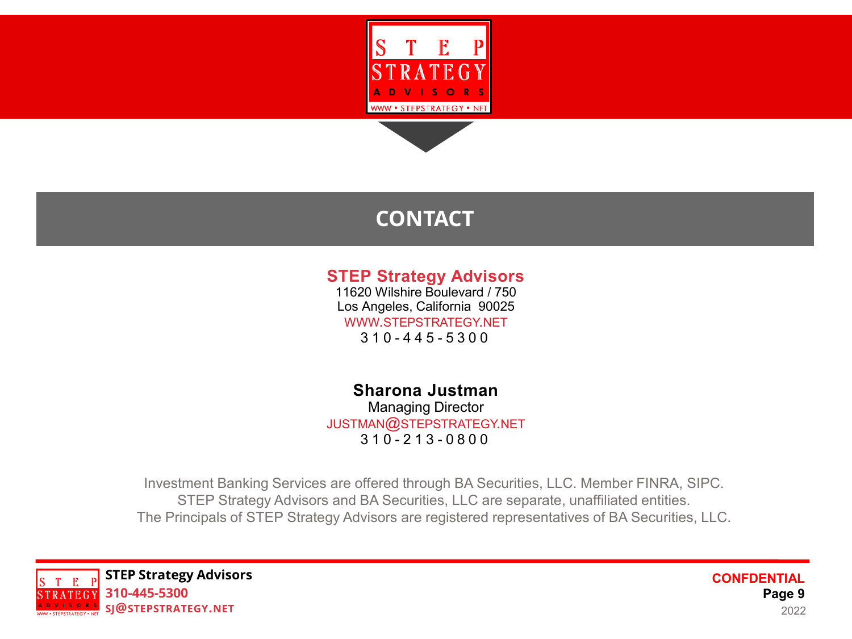

### **CONTACT**

### **STEP Strategy Advisors**

11620 Wilshire Boulevard / 750 Los Angeles, California 90025 WWW.STEPSTRATEGY.NET 310 - 4 4 5 - 5 3 0 0

**Sharona Justman** Managing Director JUSTMAN@STEPSTRATEGY.NET 310 - 2 1 3 - 0 8 0 0

Investment Banking Services are offered through BA Securities, LLC. Member FINRA, SIPC. STEP Strategy Advisors and BA Securities, LLC are separate, unaffiliated entities. The Principals of STEP Strategy Advisors are registered representatives of BA Securities, LLC.